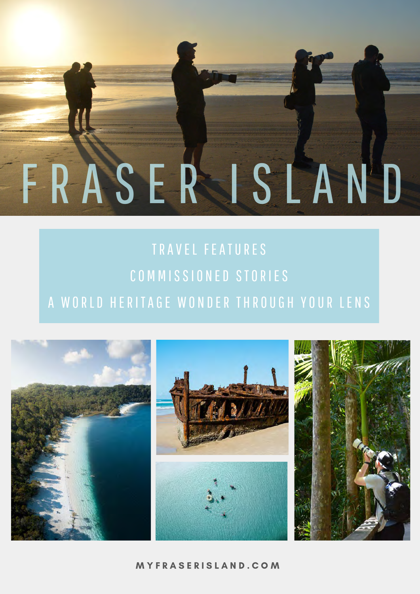## TRAVEL FEATURES COMMISSIONED STORIES A WORLD HERITAGE WONDER THROUGH YOUR LENS

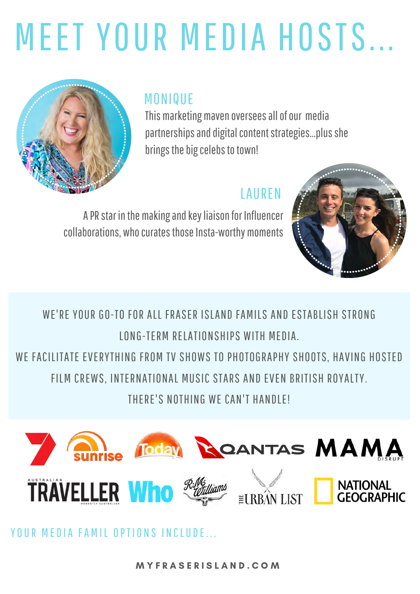# MEET YOUR MEDIA HOSTS...



#### MONIQUE

This marketing maven oversees all of our media partnerships and digital content strategies...plus she brings the big celebs to town!

#### LAUREN

A PR star in the making and key liaison for Influencer collaborations, who curates those Insta-worthy moments



WE'RE YOUR GO-TO FOR ALL FRASER ISLAND FAMILS AND ESTABLISH STRONG LONG-TERM RELATIONSHIPS WITH MEDIA.

WE FACILITATE EVERYTHING FROM TV SHOWS TO PHOTOGRAPHY SHOOTS, HAVING HOSTED FILM CREWS, INTERNATIONAL MUSIC STARS AND EVEN BRITISH ROYALTY.

THERE'S NOTHING WE CAN'T HANDLEI



YOUR MEDIA FAMIL OPTIONS INCLUDE.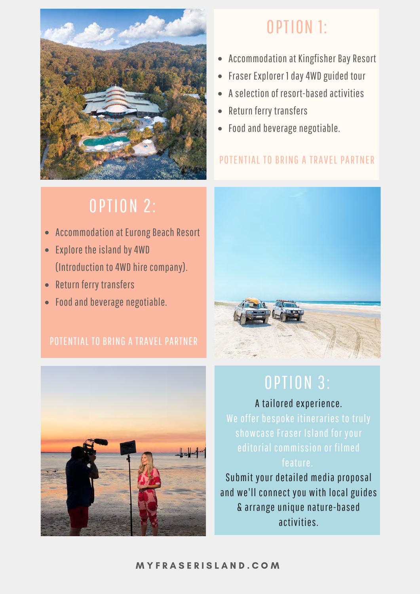

#### OPTION 1:

- Accommodation at Kingfisher Bay Resort
- Fraser Explorer 1 day 4WD guided tour
- A selection of resort-based activities
- Return ferry transfers
- Food and beverage negotiable.

#### POTENTIAL TO BRING A TRAVEL PARTNER

## **OPTION 2:**

- Accommodation at Eurong Beach Resort
- Explore the island by 4WD (Introduction to 4WD hire company).
- Return ferry transfers
- Food and beverage negotiable.

#### POTENTIAL TO BRING A TRAVEL PARTNER





#### **OPTION 3:**

A tailored experience. We offer bespoke itineraries to truly editorial commission or filmed feature.

Submit your detailed media proposal and we'll connect you with local guides & arrange unique nature-based activities.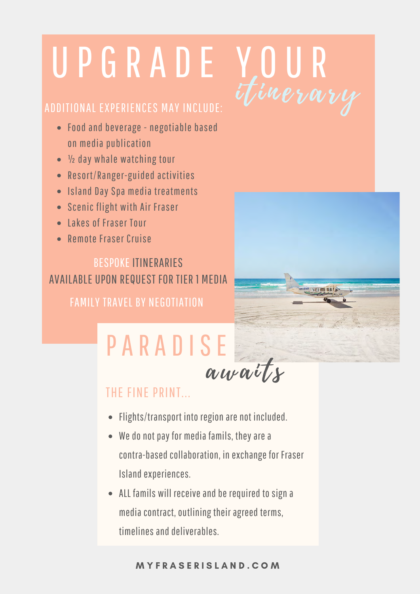# U P G R A D E Y O U R

#### ADDITIONAL EXPERIENCES MAY INCLUDE:

- Food and beverage negotiable based on media publication
- ½ day whale watching tour
- Resort/Ranger-guided activities
- Island Day Spa media treatments
- Scenic flight with Air Fraser
- Lakes of Fraser Tour
- Remote Fraser Cruise

BESPOKE ITINERARIES AVAILABLE UPON REQUEST FOR TIER 1 MEDIA FAMILY TRAVEL BY NEGOTIATION

## PARADISE



## awaits

#### THE FINE PRINT

- Flights/transport into region are not included.
- We do not pay for media famils, they are a contra-based collaboration, in exchange for Fraser Island experiences.
- ALL famils will receive and be required to sign a media contract, outlining their agreed terms, timelines and deliverables.

#### M Y F R A S E R I S L A N D . C O M